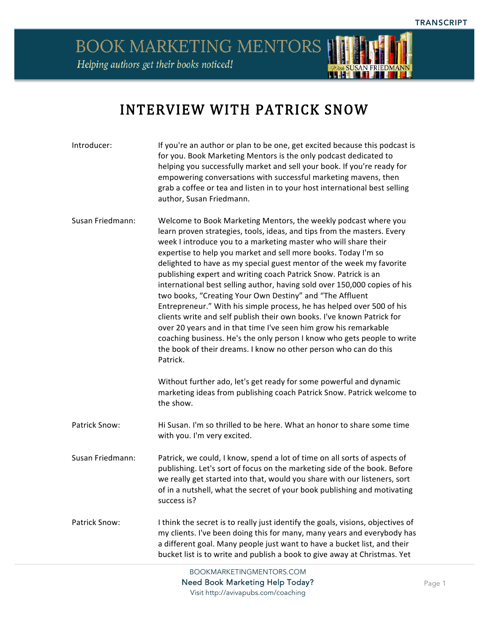

## INTERVIEW WITH PATRICK SNOW

| Introducer:      | If you're an author or plan to be one, get excited because this podcast is<br>for you. Book Marketing Mentors is the only podcast dedicated to<br>helping you successfully market and sell your book. If you're ready for<br>empowering conversations with successful marketing mavens, then<br>grab a coffee or tea and listen in to your host international best selling<br>author, Susan Friedmann.                                                                                                                                                                                                                                                                                                                                                                                                                                                                                                                                                                                                                                                                                                |
|------------------|-------------------------------------------------------------------------------------------------------------------------------------------------------------------------------------------------------------------------------------------------------------------------------------------------------------------------------------------------------------------------------------------------------------------------------------------------------------------------------------------------------------------------------------------------------------------------------------------------------------------------------------------------------------------------------------------------------------------------------------------------------------------------------------------------------------------------------------------------------------------------------------------------------------------------------------------------------------------------------------------------------------------------------------------------------------------------------------------------------|
| Susan Friedmann: | Welcome to Book Marketing Mentors, the weekly podcast where you<br>learn proven strategies, tools, ideas, and tips from the masters. Every<br>week I introduce you to a marketing master who will share their<br>expertise to help you market and sell more books. Today I'm so<br>delighted to have as my special guest mentor of the week my favorite<br>publishing expert and writing coach Patrick Snow. Patrick is an<br>international best selling author, having sold over 150,000 copies of his<br>two books, "Creating Your Own Destiny" and "The Affluent<br>Entrepreneur." With his simple process, he has helped over 500 of his<br>clients write and self publish their own books. I've known Patrick for<br>over 20 years and in that time I've seen him grow his remarkable<br>coaching business. He's the only person I know who gets people to write<br>the book of their dreams. I know no other person who can do this<br>Patrick.<br>Without further ado, let's get ready for some powerful and dynamic<br>marketing ideas from publishing coach Patrick Snow. Patrick welcome to |
|                  | the show.                                                                                                                                                                                                                                                                                                                                                                                                                                                                                                                                                                                                                                                                                                                                                                                                                                                                                                                                                                                                                                                                                             |
| Patrick Snow:    | Hi Susan. I'm so thrilled to be here. What an honor to share some time<br>with you. I'm very excited.                                                                                                                                                                                                                                                                                                                                                                                                                                                                                                                                                                                                                                                                                                                                                                                                                                                                                                                                                                                                 |
| Susan Friedmann: | Patrick, we could, I know, spend a lot of time on all sorts of aspects of<br>publishing. Let's sort of focus on the marketing side of the book. Before<br>we really get started into that, would you share with our listeners, sort<br>of in a nutshell, what the secret of your book publishing and motivating<br>success is?                                                                                                                                                                                                                                                                                                                                                                                                                                                                                                                                                                                                                                                                                                                                                                        |
| Patrick Snow:    | I think the secret is to really just identify the goals, visions, objectives of<br>my clients. I've been doing this for many, many years and everybody has<br>a different goal. Many people just want to have a bucket list, and their<br>bucket list is to write and publish a book to give away at Christmas. Yet                                                                                                                                                                                                                                                                                                                                                                                                                                                                                                                                                                                                                                                                                                                                                                                   |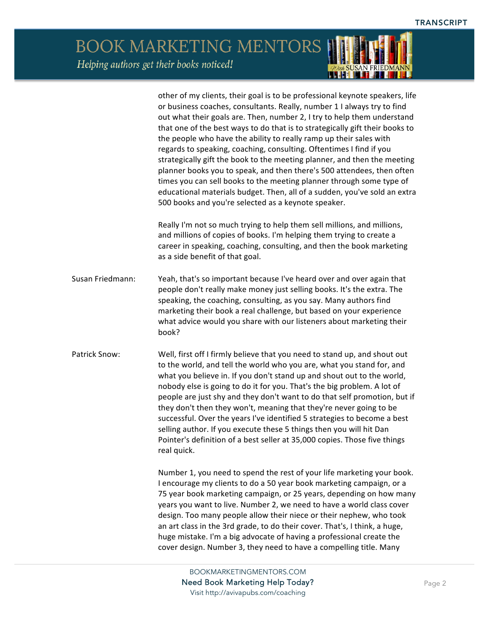*TOWA SUSAN FRIEDMANN* 

BOOK MARKETING MENTORS Helping authors get their books noticed!

|                  | other of my clients, their goal is to be professional keynote speakers, life<br>or business coaches, consultants. Really, number 1 I always try to find<br>out what their goals are. Then, number 2, I try to help them understand<br>that one of the best ways to do that is to strategically gift their books to<br>the people who have the ability to really ramp up their sales with<br>regards to speaking, coaching, consulting. Oftentimes I find if you<br>strategically gift the book to the meeting planner, and then the meeting<br>planner books you to speak, and then there's 500 attendees, then often<br>times you can sell books to the meeting planner through some type of<br>educational materials budget. Then, all of a sudden, you've sold an extra<br>500 books and you're selected as a keynote speaker. |
|------------------|-----------------------------------------------------------------------------------------------------------------------------------------------------------------------------------------------------------------------------------------------------------------------------------------------------------------------------------------------------------------------------------------------------------------------------------------------------------------------------------------------------------------------------------------------------------------------------------------------------------------------------------------------------------------------------------------------------------------------------------------------------------------------------------------------------------------------------------|
|                  | Really I'm not so much trying to help them sell millions, and millions,<br>and millions of copies of books. I'm helping them trying to create a<br>career in speaking, coaching, consulting, and then the book marketing<br>as a side benefit of that goal.                                                                                                                                                                                                                                                                                                                                                                                                                                                                                                                                                                       |
| Susan Friedmann: | Yeah, that's so important because I've heard over and over again that<br>people don't really make money just selling books. It's the extra. The<br>speaking, the coaching, consulting, as you say. Many authors find<br>marketing their book a real challenge, but based on your experience<br>what advice would you share with our listeners about marketing their<br>book?                                                                                                                                                                                                                                                                                                                                                                                                                                                      |
| Patrick Snow:    | Well, first off I firmly believe that you need to stand up, and shout out<br>to the world, and tell the world who you are, what you stand for, and<br>what you believe in. If you don't stand up and shout out to the world,<br>nobody else is going to do it for you. That's the big problem. A lot of<br>people are just shy and they don't want to do that self promotion, but if<br>they don't then they won't, meaning that they're never going to be<br>successful. Over the years I've identified 5 strategies to become a best<br>selling author. If you execute these 5 things then you will hit Dan<br>Pointer's definition of a best seller at 35,000 copies. Those five things<br>real quick.                                                                                                                         |
|                  | Number 1, you need to spend the rest of your life marketing your book.<br>I encourage my clients to do a 50 year book marketing campaign, or a<br>75 year book marketing campaign, or 25 years, depending on how many<br>years you want to live. Number 2, we need to have a world class cover<br>design. Too many people allow their niece or their nephew, who took<br>an art class in the 3rd grade, to do their cover. That's, I think, a huge,<br>huge mistake. I'm a big advocate of having a professional create the<br>cover design. Number 3, they need to have a compelling title. Many                                                                                                                                                                                                                                 |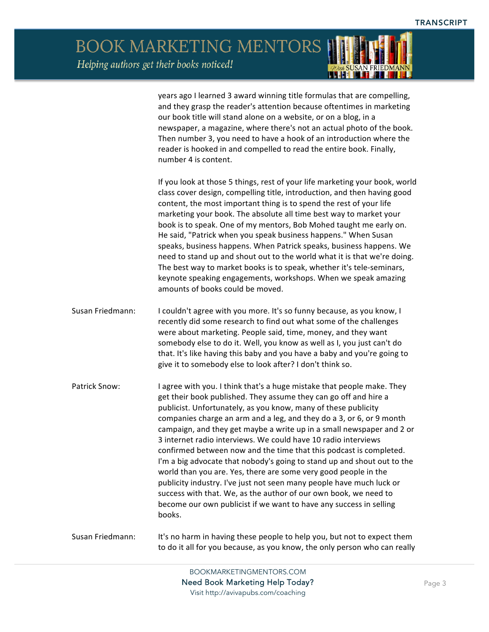*ODER SUSAN FRIEDMANN* 

BOOK MARKETING MENTORS Helping authors get their books noticed!

|                  | years ago I learned 3 award winning title formulas that are compelling,<br>and they grasp the reader's attention because oftentimes in marketing<br>our book title will stand alone on a website, or on a blog, in a<br>newspaper, a magazine, where there's not an actual photo of the book.<br>Then number 3, you need to have a hook of an introduction where the<br>reader is hooked in and compelled to read the entire book. Finally,<br>number 4 is content.                                                                                                                                                                                                                                                                                                                                                                                                             |
|------------------|---------------------------------------------------------------------------------------------------------------------------------------------------------------------------------------------------------------------------------------------------------------------------------------------------------------------------------------------------------------------------------------------------------------------------------------------------------------------------------------------------------------------------------------------------------------------------------------------------------------------------------------------------------------------------------------------------------------------------------------------------------------------------------------------------------------------------------------------------------------------------------|
|                  | If you look at those 5 things, rest of your life marketing your book, world<br>class cover design, compelling title, introduction, and then having good<br>content, the most important thing is to spend the rest of your life<br>marketing your book. The absolute all time best way to market your<br>book is to speak. One of my mentors, Bob Mohed taught me early on.<br>He said, "Patrick when you speak business happens." When Susan<br>speaks, business happens. When Patrick speaks, business happens. We<br>need to stand up and shout out to the world what it is that we're doing.<br>The best way to market books is to speak, whether it's tele-seminars,<br>keynote speaking engagements, workshops. When we speak amazing<br>amounts of books could be moved.                                                                                                  |
| Susan Friedmann: | I couldn't agree with you more. It's so funny because, as you know, I<br>recently did some research to find out what some of the challenges<br>were about marketing. People said, time, money, and they want<br>somebody else to do it. Well, you know as well as I, you just can't do<br>that. It's like having this baby and you have a baby and you're going to<br>give it to somebody else to look after? I don't think so.                                                                                                                                                                                                                                                                                                                                                                                                                                                 |
| Patrick Snow:    | I agree with you. I think that's a huge mistake that people make. They<br>get their book published. They assume they can go off and hire a<br>publicist. Unfortunately, as you know, many of these publicity<br>companies charge an arm and a leg, and they do a 3, or 6, or 9 month<br>campaign, and they get maybe a write up in a small newspaper and 2 or<br>3 internet radio interviews. We could have 10 radio interviews<br>confirmed between now and the time that this podcast is completed.<br>I'm a big advocate that nobody's going to stand up and shout out to the<br>world than you are. Yes, there are some very good people in the<br>publicity industry. I've just not seen many people have much luck or<br>success with that. We, as the author of our own book, we need to<br>become our own publicist if we want to have any success in selling<br>books. |
| Susan Friedmann: | It's no harm in having these people to help you, but not to expect them<br>to do it all for you because, as you know, the only person who can really                                                                                                                                                                                                                                                                                                                                                                                                                                                                                                                                                                                                                                                                                                                            |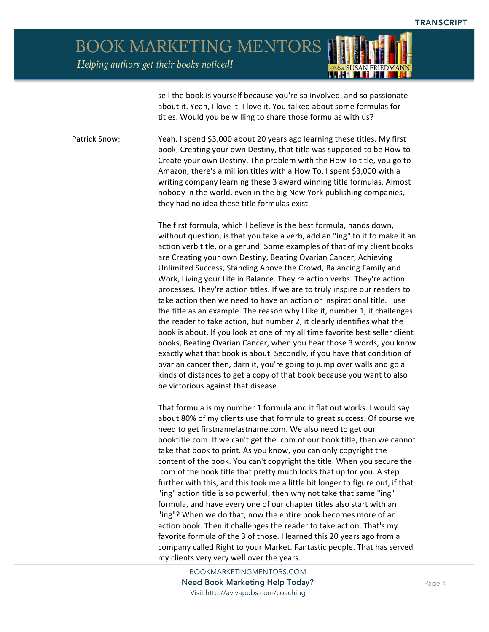

sell the book is yourself because you're so involved, and so passionate about it. Yeah, I love it. I love it. You talked about some formulas for titles. Would you be willing to share those formulas with us?

Patrick Snow: Yeah. I spend \$3,000 about 20 years ago learning these titles. My first book, Creating your own Destiny, that title was supposed to be How to Create your own Destiny. The problem with the How To title, you go to Amazon, there's a million titles with a How To. I spent \$3,000 with a writing company learning these 3 award winning title formulas. Almost nobody in the world, even in the big New York publishing companies, they had no idea these title formulas exist.

> The first formula, which I believe is the best formula, hands down, without question, is that you take a verb, add an "ing" to it to make it an action verb title, or a gerund. Some examples of that of my client books are Creating your own Destiny, Beating Ovarian Cancer, Achieving Unlimited Success, Standing Above the Crowd, Balancing Family and Work, Living your Life in Balance. They're action verbs. They're action processes. They're action titles. If we are to truly inspire our readers to take action then we need to have an action or inspirational title. I use the title as an example. The reason why I like it, number 1, it challenges the reader to take action, but number 2, it clearly identifies what the book is about. If you look at one of my all time favorite best seller client books, Beating Ovarian Cancer, when you hear those 3 words, you know exactly what that book is about. Secondly, if you have that condition of ovarian cancer then, darn it, you're going to jump over walls and go all kinds of distances to get a copy of that book because you want to also be victorious against that disease.

> That formula is my number 1 formula and it flat out works. I would say about 80% of my clients use that formula to great success. Of course we need to get firstnamelastname.com. We also need to get our booktitle.com. If we can't get the .com of our book title, then we cannot take that book to print. As you know, you can only copyright the content of the book. You can't copyright the title. When you secure the .com of the book title that pretty much locks that up for you. A step further with this, and this took me a little bit longer to figure out, if that "ing" action title is so powerful, then why not take that same "ing" formula, and have every one of our chapter titles also start with an "ing"? When we do that, now the entire book becomes more of an action book. Then it challenges the reader to take action. That's my favorite formula of the 3 of those. I learned this 20 years ago from a company called Right to your Market. Fantastic people. That has served my clients very very well over the years.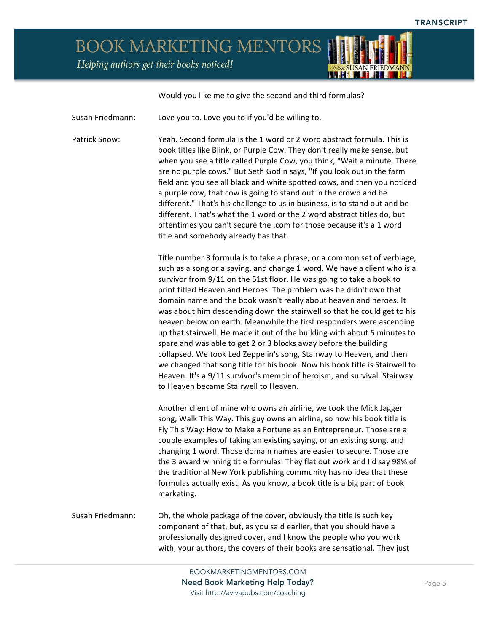Would you like me to give the second and third formulas?

Susan Friedmann: Love you to. Love you to if you'd be willing to.

Patrick Snow: Yeah. Second formula is the 1 word or 2 word abstract formula. This is book titles like Blink, or Purple Cow. They don't really make sense, but when you see a title called Purple Cow, you think, "Wait a minute. There are no purple cows." But Seth Godin says, "If you look out in the farm field and you see all black and white spotted cows, and then you noticed a purple cow, that cow is going to stand out in the crowd and be different." That's his challenge to us in business, is to stand out and be different. That's what the 1 word or the 2 word abstract titles do, but oftentimes you can't secure the .com for those because it's a 1 word title and somebody already has that.

> Title number 3 formula is to take a phrase, or a common set of verbiage, such as a song or a saying, and change 1 word. We have a client who is a survivor from  $9/11$  on the 51st floor. He was going to take a book to print titled Heaven and Heroes. The problem was he didn't own that domain name and the book wasn't really about heaven and heroes. It was about him descending down the stairwell so that he could get to his heaven below on earth. Meanwhile the first responders were ascending up that stairwell. He made it out of the building with about 5 minutes to spare and was able to get 2 or 3 blocks away before the building collapsed. We took Led Zeppelin's song, Stairway to Heaven, and then we changed that song title for his book. Now his book title is Stairwell to Heaven. It's a 9/11 survivor's memoir of heroism, and survival. Stairway to Heaven became Stairwell to Heaven.

> Another client of mine who owns an airline, we took the Mick Jagger song, Walk This Way. This guy owns an airline, so now his book title is Fly This Way: How to Make a Fortune as an Entrepreneur. Those are a couple examples of taking an existing saying, or an existing song, and changing 1 word. Those domain names are easier to secure. Those are the 3 award winning title formulas. They flat out work and I'd say 98% of the traditional New York publishing community has no idea that these formulas actually exist. As you know, a book title is a big part of book marketing.

Susan Friedmann: Oh, the whole package of the cover, obviously the title is such key component of that, but, as you said earlier, that you should have a professionally designed cover, and I know the people who you work with, your authors, the covers of their books are sensational. They just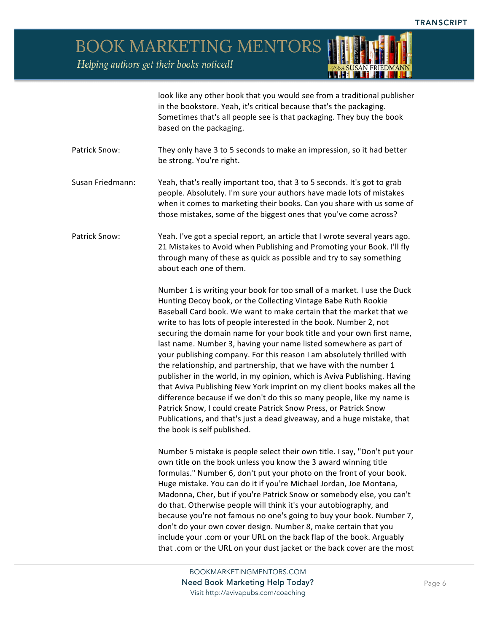

look like any other book that you would see from a traditional publisher in the bookstore. Yeah, it's critical because that's the packaging. Sometimes that's all people see is that packaging. They buy the book based on the packaging.

- Patrick Snow: They only have 3 to 5 seconds to make an impression, so it had better be strong. You're right.
- Susan Friedmann: Yeah, that's really important too, that 3 to 5 seconds. It's got to grab people. Absolutely. I'm sure your authors have made lots of mistakes when it comes to marketing their books. Can you share with us some of those mistakes, some of the biggest ones that you've come across?
- Patrick Snow: Yeah. I've got a special report, an article that I wrote several years ago. 21 Mistakes to Avoid when Publishing and Promoting your Book. I'll fly through many of these as quick as possible and try to say something about each one of them.

Number 1 is writing your book for too small of a market. I use the Duck Hunting Decoy book, or the Collecting Vintage Babe Ruth Rookie Baseball Card book. We want to make certain that the market that we write to has lots of people interested in the book. Number 2, not securing the domain name for your book title and your own first name, last name. Number 3, having your name listed somewhere as part of your publishing company. For this reason I am absolutely thrilled with the relationship, and partnership, that we have with the number 1 publisher in the world, in my opinion, which is Aviva Publishing. Having that Aviva Publishing New York imprint on my client books makes all the difference because if we don't do this so many people, like my name is Patrick Snow, I could create Patrick Snow Press, or Patrick Snow Publications, and that's just a dead giveaway, and a huge mistake, that the book is self published.

Number 5 mistake is people select their own title. I say, "Don't put your own title on the book unless you know the 3 award winning title formulas." Number 6, don't put your photo on the front of your book. Huge mistake. You can do it if you're Michael Jordan, Joe Montana, Madonna, Cher, but if you're Patrick Snow or somebody else, you can't do that. Otherwise people will think it's your autobiography, and because you're not famous no one's going to buy your book. Number 7, don't do your own cover design. Number 8, make certain that you include your .com or your URL on the back flap of the book. Arguably that .com or the URL on your dust jacket or the back cover are the most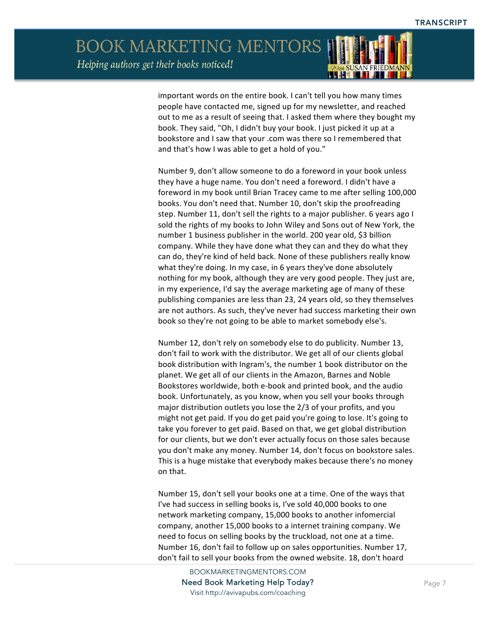

important words on the entire book. I can't tell you how many times people have contacted me, signed up for my newsletter, and reached out to me as a result of seeing that. I asked them where they bought my book. They said, "Oh, I didn't buy your book. I just picked it up at a bookstore and I saw that your .com was there so I remembered that and that's how I was able to get a hold of you."

Number 9, don't allow someone to do a foreword in your book unless they have a huge name. You don't need a foreword. I didn't have a foreword in my book until Brian Tracey came to me after selling 100,000 books. You don't need that. Number 10, don't skip the proofreading step. Number 11, don't sell the rights to a major publisher. 6 years ago I sold the rights of my books to John Wiley and Sons out of New York, the number 1 business publisher in the world. 200 year old, \$3 billion company. While they have done what they can and they do what they can do, they're kind of held back. None of these publishers really know what they're doing. In my case, in 6 years they've done absolutely nothing for my book, although they are very good people. They just are, in my experience, I'd say the average marketing age of many of these publishing companies are less than 23, 24 years old, so they themselves are not authors. As such, they've never had success marketing their own book so they're not going to be able to market somebody else's.

Number 12, don't rely on somebody else to do publicity. Number 13, don't fail to work with the distributor. We get all of our clients global book distribution with Ingram's, the number 1 book distributor on the planet. We get all of our clients in the Amazon, Barnes and Noble Bookstores worldwide, both e-book and printed book, and the audio book. Unfortunately, as you know, when you sell your books through major distribution outlets you lose the 2/3 of your profits, and you might not get paid. If you do get paid you're going to lose. It's going to take you forever to get paid. Based on that, we get global distribution for our clients, but we don't ever actually focus on those sales because you don't make any money. Number 14, don't focus on bookstore sales. This is a huge mistake that everybody makes because there's no money on that. 

Number 15, don't sell your books one at a time. One of the ways that I've had success in selling books is, I've sold 40,000 books to one network marketing company, 15,000 books to another infomercial company, another 15,000 books to a internet training company. We need to focus on selling books by the truckload, not one at a time. Number 16, don't fail to follow up on sales opportunities. Number 17, don't fail to sell your books from the owned website. 18, don't hoard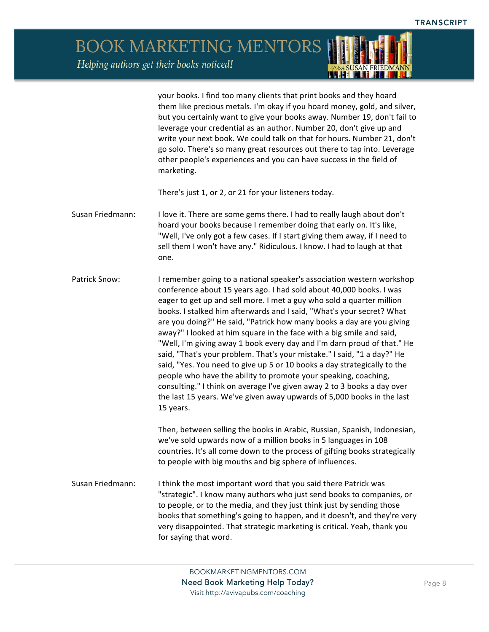> your books. I find too many clients that print books and they hoard them like precious metals. I'm okay if you hoard money, gold, and silver, but you certainly want to give your books away. Number 19, don't fail to leverage your credential as an author. Number 20, don't give up and write your next book. We could talk on that for hours. Number 21, don't go solo. There's so many great resources out there to tap into. Leverage other people's experiences and you can have success in the field of marketing.

There's just 1, or 2, or 21 for your listeners today.

- Susan Friedmann: I love it. There are some gems there. I had to really laugh about don't hoard your books because I remember doing that early on. It's like, "Well, I've only got a few cases. If I start giving them away, if I need to sell them I won't have any." Ridiculous. I know. I had to laugh at that one.
- Patrick Snow: I remember going to a national speaker's association western workshop conference about 15 years ago. I had sold about 40,000 books. I was eager to get up and sell more. I met a guy who sold a quarter million books. I stalked him afterwards and I said, "What's your secret? What are you doing?" He said, "Patrick how many books a day are you giving away?" I looked at him square in the face with a big smile and said, "Well, I'm giving away 1 book every day and I'm darn proud of that." He said, "That's your problem. That's your mistake." I said, "1 a day?" He said, "Yes. You need to give up 5 or 10 books a day strategically to the people who have the ability to promote your speaking, coaching, consulting." I think on average I've given away 2 to 3 books a day over the last 15 years. We've given away upwards of 5,000 books in the last 15 years.

Then, between selling the books in Arabic, Russian, Spanish, Indonesian, we've sold upwards now of a million books in 5 languages in 108 countries. It's all come down to the process of gifting books strategically to people with big mouths and big sphere of influences.

Susan Friedmann: I think the most important word that you said there Patrick was "strategic". I know many authors who just send books to companies, or to people, or to the media, and they just think just by sending those books that something's going to happen, and it doesn't, and they're very very disappointed. That strategic marketing is critical. Yeah, thank you for saying that word.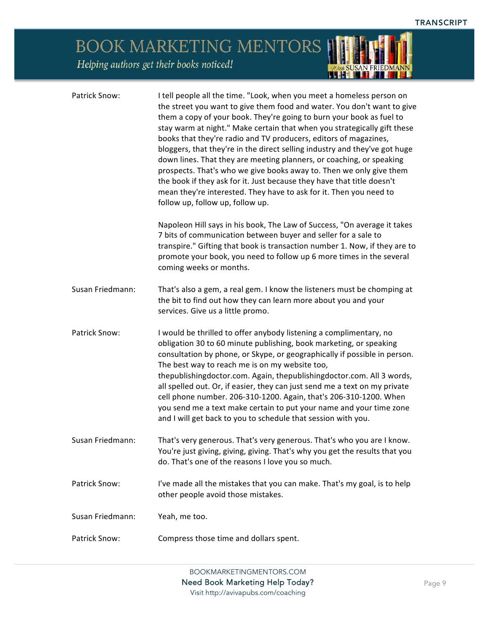*TOWA SUSAN FRIEDMANN* 

BOOK MARKETING MENTORS Helping authors get their books noticed!

| Patrick Snow:    | I tell people all the time. "Look, when you meet a homeless person on<br>the street you want to give them food and water. You don't want to give<br>them a copy of your book. They're going to burn your book as fuel to<br>stay warm at night." Make certain that when you strategically gift these<br>books that they're radio and TV producers, editors of magazines,<br>bloggers, that they're in the direct selling industry and they've got huge<br>down lines. That they are meeting planners, or coaching, or speaking<br>prospects. That's who we give books away to. Then we only give them<br>the book if they ask for it. Just because they have that title doesn't<br>mean they're interested. They have to ask for it. Then you need to<br>follow up, follow up, follow up. |
|------------------|-------------------------------------------------------------------------------------------------------------------------------------------------------------------------------------------------------------------------------------------------------------------------------------------------------------------------------------------------------------------------------------------------------------------------------------------------------------------------------------------------------------------------------------------------------------------------------------------------------------------------------------------------------------------------------------------------------------------------------------------------------------------------------------------|
|                  | Napoleon Hill says in his book, The Law of Success, "On average it takes<br>7 bits of communication between buyer and seller for a sale to<br>transpire." Gifting that book is transaction number 1. Now, if they are to<br>promote your book, you need to follow up 6 more times in the several<br>coming weeks or months.                                                                                                                                                                                                                                                                                                                                                                                                                                                               |
| Susan Friedmann: | That's also a gem, a real gem. I know the listeners must be chomping at<br>the bit to find out how they can learn more about you and your<br>services. Give us a little promo.                                                                                                                                                                                                                                                                                                                                                                                                                                                                                                                                                                                                            |
| Patrick Snow:    | I would be thrilled to offer anybody listening a complimentary, no<br>obligation 30 to 60 minute publishing, book marketing, or speaking<br>consultation by phone, or Skype, or geographically if possible in person.<br>The best way to reach me is on my website too,<br>thepublishingdoctor.com. Again, thepublishingdoctor.com. All 3 words,<br>all spelled out. Or, if easier, they can just send me a text on my private<br>cell phone number. 206-310-1200. Again, that's 206-310-1200. When<br>you send me a text make certain to put your name and your time zone<br>and I will get back to you to schedule that session with you.                                                                                                                                               |
| Susan Friedmann: | That's very generous. That's very generous. That's who you are I know.<br>You're just giving, giving, giving. That's why you get the results that you<br>do. That's one of the reasons I love you so much.                                                                                                                                                                                                                                                                                                                                                                                                                                                                                                                                                                                |
| Patrick Snow:    | I've made all the mistakes that you can make. That's my goal, is to help<br>other people avoid those mistakes.                                                                                                                                                                                                                                                                                                                                                                                                                                                                                                                                                                                                                                                                            |
| Susan Friedmann: | Yeah, me too.                                                                                                                                                                                                                                                                                                                                                                                                                                                                                                                                                                                                                                                                                                                                                                             |
| Patrick Snow:    | Compress those time and dollars spent.                                                                                                                                                                                                                                                                                                                                                                                                                                                                                                                                                                                                                                                                                                                                                    |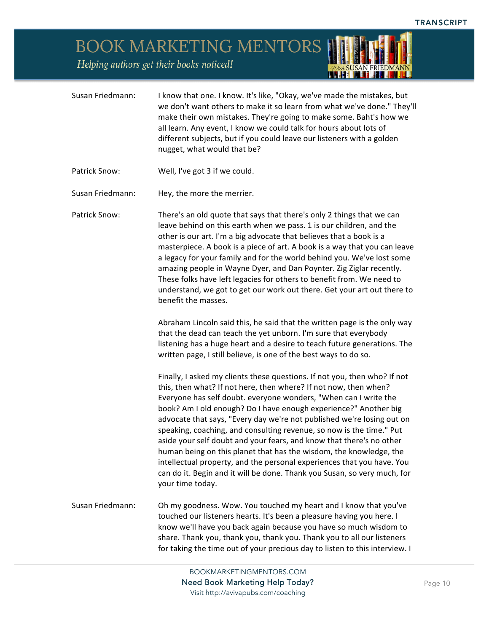*ODue SUSAN FRIEDMANN* 

## BOOK MARKETING MENTORS

Helping authors get their books noticed!

| Susan Friedmann: | I know that one. I know. It's like, "Okay, we've made the mistakes, but<br>we don't want others to make it so learn from what we've done." They'll<br>make their own mistakes. They're going to make some. Baht's how we<br>all learn. Any event, I know we could talk for hours about lots of<br>different subjects, but if you could leave our listeners with a golden<br>nugget, what would that be?                                                                                                                                                                                                                                                                                                                                                         |
|------------------|-----------------------------------------------------------------------------------------------------------------------------------------------------------------------------------------------------------------------------------------------------------------------------------------------------------------------------------------------------------------------------------------------------------------------------------------------------------------------------------------------------------------------------------------------------------------------------------------------------------------------------------------------------------------------------------------------------------------------------------------------------------------|
| Patrick Snow:    | Well, I've got 3 if we could.                                                                                                                                                                                                                                                                                                                                                                                                                                                                                                                                                                                                                                                                                                                                   |
| Susan Friedmann: | Hey, the more the merrier.                                                                                                                                                                                                                                                                                                                                                                                                                                                                                                                                                                                                                                                                                                                                      |
| Patrick Snow:    | There's an old quote that says that there's only 2 things that we can<br>leave behind on this earth when we pass. 1 is our children, and the<br>other is our art. I'm a big advocate that believes that a book is a<br>masterpiece. A book is a piece of art. A book is a way that you can leave<br>a legacy for your family and for the world behind you. We've lost some<br>amazing people in Wayne Dyer, and Dan Poynter. Zig Ziglar recently.<br>These folks have left legacies for others to benefit from. We need to<br>understand, we got to get our work out there. Get your art out there to<br>benefit the masses.<br>Abraham Lincoln said this, he said that the written page is the only way                                                        |
|                  | that the dead can teach the yet unborn. I'm sure that everybody<br>listening has a huge heart and a desire to teach future generations. The<br>written page, I still believe, is one of the best ways to do so.                                                                                                                                                                                                                                                                                                                                                                                                                                                                                                                                                 |
|                  | Finally, I asked my clients these questions. If not you, then who? If not<br>this, then what? If not here, then where? If not now, then when?<br>Everyone has self doubt. everyone wonders, "When can I write the<br>book? Am I old enough? Do I have enough experience?" Another big<br>advocate that says, "Every day we're not published we're losing out on<br>speaking, coaching, and consulting revenue, so now is the time." Put<br>aside your self doubt and your fears, and know that there's no other<br>human being on this planet that has the wisdom, the knowledge, the<br>intellectual property, and the personal experiences that you have. You<br>can do it. Begin and it will be done. Thank you Susan, so very much, for<br>your time today. |
| Susan Friedmann: | Oh my goodness. Wow. You touched my heart and I know that you've<br>touched our listeners hearts. It's been a pleasure having you here. I<br>know we'll have you back again because you have so much wisdom to<br>share. Thank you, thank you, thank you. Thank you to all our listeners<br>for taking the time out of your precious day to listen to this interview. I                                                                                                                                                                                                                                                                                                                                                                                         |